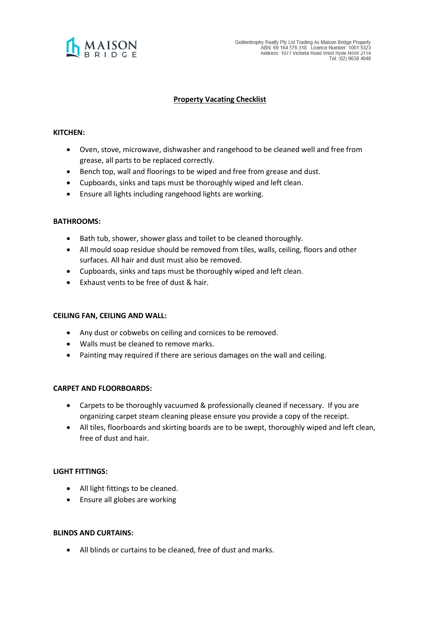

# **Property Vacating Checklist**

# **KITCHEN:**

- Oven, stove, microwave, dishwasher and rangehood to be cleaned well and free from grease, all parts to be replaced correctly.
- Bench top, wall and floorings to be wiped and free from grease and dust.
- Cupboards, sinks and taps must be thoroughly wiped and left clean.
- Ensure all lights including rangehood lights are working.

## **BATHROOMS:**

- Bath tub, shower, shower glass and toilet to be cleaned thoroughly.
- All mould soap residue should be removed from tiles, walls, ceiling, floors and other surfaces. All hair and dust must also be removed.
- Cupboards, sinks and taps must be thoroughly wiped and left clean.
- Exhaust vents to be free of dust & hair.

## **CEILING FAN, CEILING AND WALL:**

- Any dust or cobwebs on ceiling and cornices to be removed.
- Walls must be cleaned to remove marks.
- Painting may required if there are serious damages on the wall and ceiling.

# **CARPET AND FLOORBOARDS:**

- Carpets to be thoroughly vacuumed & professionally cleaned if necessary. If you are organizing carpet steam cleaning please ensure you provide a copy of the receipt.
- All tiles, floorboards and skirting boards are to be swept, thoroughly wiped and left clean, free of dust and hair.

# **LIGHT FITTINGS:**

- All light fittings to be cleaned.
- Ensure all globes are working

## **BLINDS AND CURTAINS:**

• All blinds or curtains to be cleaned, free of dust and marks.